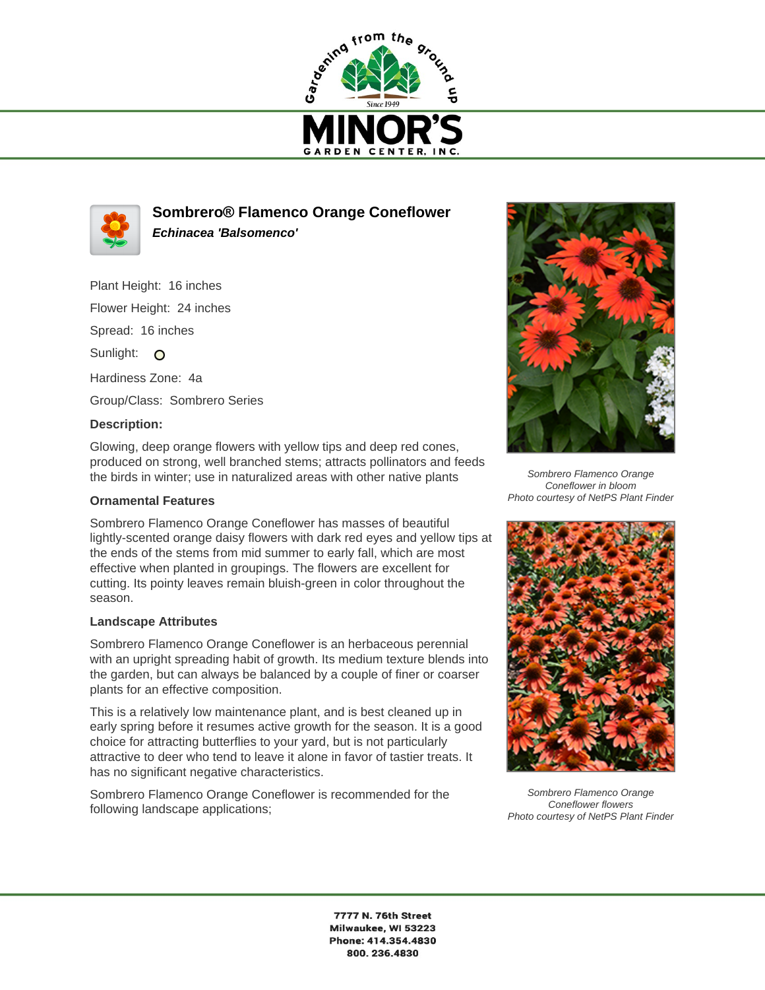



**Sombrero® Flamenco Orange Coneflower Echinacea 'Balsomenco'**

Plant Height: 16 inches Flower Height: 24 inches Spread: 16 inches Sunlight: O Hardiness Zone: 4a Group/Class: Sombrero Series

## **Description:**

Glowing, deep orange flowers with yellow tips and deep red cones, produced on strong, well branched stems; attracts pollinators and feeds the birds in winter; use in naturalized areas with other native plants

## **Ornamental Features**

Sombrero Flamenco Orange Coneflower has masses of beautiful lightly-scented orange daisy flowers with dark red eyes and yellow tips at the ends of the stems from mid summer to early fall, which are most effective when planted in groupings. The flowers are excellent for cutting. Its pointy leaves remain bluish-green in color throughout the season.

## **Landscape Attributes**

Sombrero Flamenco Orange Coneflower is an herbaceous perennial with an upright spreading habit of growth. Its medium texture blends into the garden, but can always be balanced by a couple of finer or coarser plants for an effective composition.

This is a relatively low maintenance plant, and is best cleaned up in early spring before it resumes active growth for the season. It is a good choice for attracting butterflies to your yard, but is not particularly attractive to deer who tend to leave it alone in favor of tastier treats. It has no significant negative characteristics.

Sombrero Flamenco Orange Coneflower is recommended for the following landscape applications;



Sombrero Flamenco Orange Coneflower in bloom Photo courtesy of NetPS Plant Finder



Sombrero Flamenco Orange Coneflower flowers Photo courtesy of NetPS Plant Finder

7777 N. 76th Street Milwaukee, WI 53223 Phone: 414.354.4830 800.236.4830